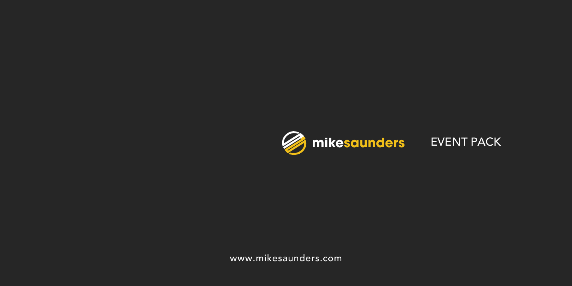

www.mikesaunders.com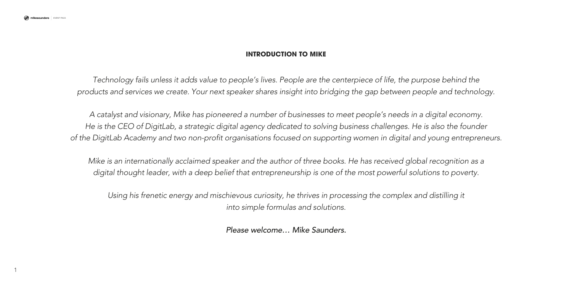1

# **INTRODUCTION TO MIKE**

*Technology fails unless it adds value to people's lives. People are the centerpiece of life, the purpose behind the products and services we create. Your next speaker shares insight into bridging the gap between people and technology.*

*A catalyst and visionary, Mike has pioneered a number of businesses to meet people's needs in a digital economy. He is the CEO of DigitLab, a strategic digital agency dedicated to solving business challenges. He is also the founder of the DigitLab Academy and two non-profit organisations focused on supporting women in digital and young entrepreneurs.*

*Mike is an internationally acclaimed speaker and the author of three books. He has received global recognition as a digital thought leader, with a deep belief that entrepreneurship is one of the most powerful solutions to poverty.*

*Using his frenetic energy and mischievous curiosity, he thrives in processing the complex and distilling it into simple formulas and solutions.*

*Please welcome… Mike Saunders.*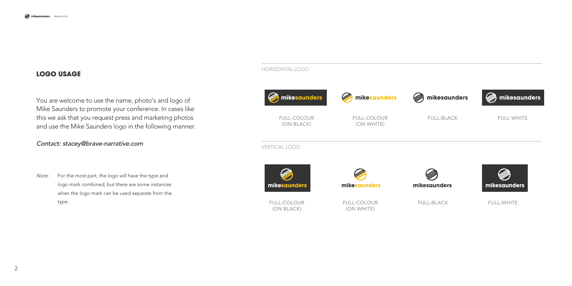### **LOGO USAGE**

You are welcome to use the name, photo's and logo of Mike Saunders to promote your conference. In cases like this we ask that you request press and marketing photos and use the Mike Saunders logo in the following manner.

### *Contact: stacey@brave-narrative.com*

*Note:* For the most part, the logo will have the type and logo mark combined, but there are some instances when the logo mark can be used separate from the type.

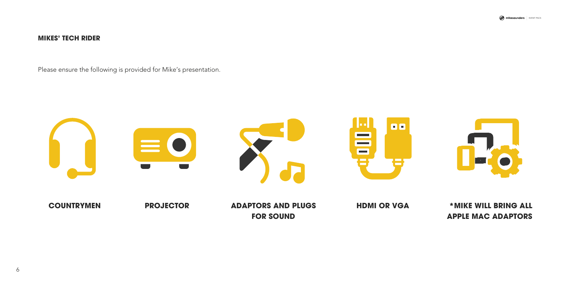mikesaunders | EVENT PACK

# **MIKES' TECH RIDER**

Please ensure the following is provided for Mike's presentation.